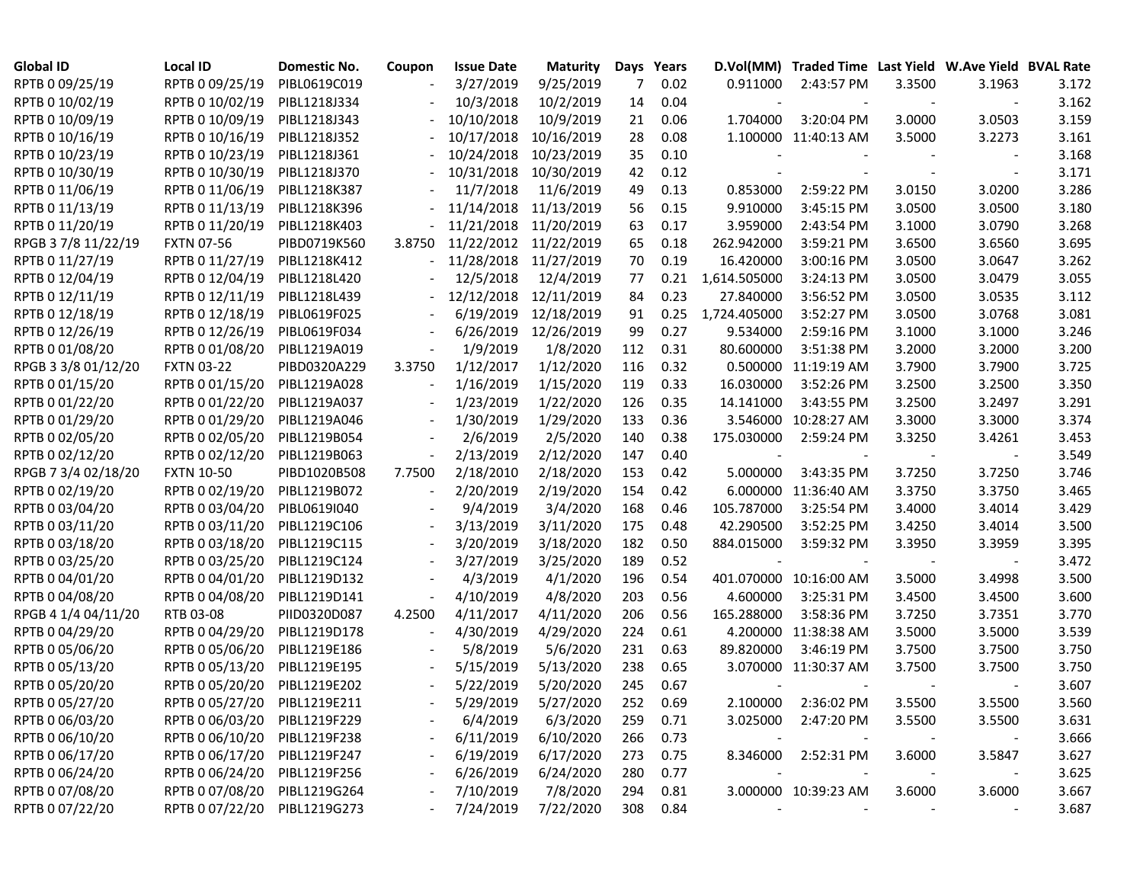| <b>Global ID</b>    | <b>Local ID</b>              | Domestic No. | Coupon | <b>Issue Date</b> | <b>Maturity</b> | Days | Years     |              | D.Vol(MM) Traded Time Last Yield W.Ave Yield BVAL Rate |        |        |       |
|---------------------|------------------------------|--------------|--------|-------------------|-----------------|------|-----------|--------------|--------------------------------------------------------|--------|--------|-------|
| RPTB 0 09/25/19     | RPTB 0 09/25/19              | PIBL0619C019 |        | 3/27/2019         | 9/25/2019       | 7    | 0.02      | 0.911000     | 2:43:57 PM                                             | 3.3500 | 3.1963 | 3.172 |
| RPTB 0 10/02/19     | RPTB 0 10/02/19              | PIBL1218J334 |        | 10/3/2018         | 10/2/2019       | 14   | 0.04      |              |                                                        |        |        | 3.162 |
| RPTB 0 10/09/19     | RPTB 0 10/09/19              | PIBL1218J343 |        | 10/10/2018        | 10/9/2019       | 21   | 0.06      | 1.704000     | 3:20:04 PM                                             | 3.0000 | 3.0503 | 3.159 |
| RPTB 0 10/16/19     | RPTB 0 10/16/19              | PIBL1218J352 |        | 10/17/2018        | 10/16/2019      | 28   | 0.08      |              | 1.100000 11:40:13 AM                                   | 3.5000 | 3.2273 | 3.161 |
| RPTB 0 10/23/19     | RPTB 0 10/23/19              | PIBL1218J361 |        | 10/24/2018        | 10/23/2019      | 35   | 0.10      |              |                                                        |        |        | 3.168 |
| RPTB 0 10/30/19     | RPTB 0 10/30/19              | PIBL1218J370 |        | 10/31/2018        | 10/30/2019      | 42   | 0.12      |              |                                                        |        |        | 3.171 |
| RPTB 0 11/06/19     | RPTB 0 11/06/19              | PIBL1218K387 |        | 11/7/2018         | 11/6/2019       | 49   | 0.13      | 0.853000     | 2:59:22 PM                                             | 3.0150 | 3.0200 | 3.286 |
| RPTB 0 11/13/19     | RPTB 0 11/13/19              | PIBL1218K396 |        | 11/14/2018        | 11/13/2019      | 56   | 0.15      | 9.910000     | 3:45:15 PM                                             | 3.0500 | 3.0500 | 3.180 |
| RPTB 0 11/20/19     | RPTB 0 11/20/19              | PIBL1218K403 |        | 11/21/2018        | 11/20/2019      | 63   | 0.17      | 3.959000     | 2:43:54 PM                                             | 3.1000 | 3.0790 | 3.268 |
| RPGB 37/8 11/22/19  | <b>FXTN 07-56</b>            | PIBD0719K560 | 3.8750 | 11/22/2012        | 11/22/2019      | 65   | 0.18      | 262.942000   | 3:59:21 PM                                             | 3.6500 | 3.6560 | 3.695 |
| RPTB 0 11/27/19     | RPTB 0 11/27/19              | PIBL1218K412 |        | 11/28/2018        | 11/27/2019      | 70   | 0.19      | 16.420000    | 3:00:16 PM                                             | 3.0500 | 3.0647 | 3.262 |
| RPTB 0 12/04/19     | RPTB 0 12/04/19              | PIBL1218L420 |        | 12/5/2018         | 12/4/2019       | 77   | 0.21      | 1,614.505000 | 3:24:13 PM                                             | 3.0500 | 3.0479 | 3.055 |
| RPTB 0 12/11/19     | RPTB 0 12/11/19              | PIBL1218L439 |        | 12/12/2018        | 12/11/2019      | 84   | 0.23      | 27.840000    | 3:56:52 PM                                             | 3.0500 | 3.0535 | 3.112 |
| RPTB 0 12/18/19     | RPTB 0 12/18/19              | PIBL0619F025 |        | 6/19/2019         | 12/18/2019      | 91   | 0.25      | 1,724.405000 | 3:52:27 PM                                             | 3.0500 | 3.0768 | 3.081 |
| RPTB 0 12/26/19     | RPTB 0 12/26/19              | PIBL0619F034 |        | 6/26/2019         | 12/26/2019      | 99   | 0.27      | 9.534000     | 2:59:16 PM                                             | 3.1000 | 3.1000 | 3.246 |
| RPTB 0 01/08/20     | RPTB 0 01/08/20              | PIBL1219A019 |        | 1/9/2019          | 1/8/2020        | 112  | 0.31      | 80.600000    | 3:51:38 PM                                             | 3.2000 | 3.2000 | 3.200 |
| RPGB 3 3/8 01/12/20 | <b>FXTN 03-22</b>            | PIBD0320A229 | 3.3750 | 1/12/2017         | 1/12/2020       | 116  | 0.32      |              | 0.500000 11:19:19 AM                                   | 3.7900 | 3.7900 | 3.725 |
| RPTB 0 01/15/20     | RPTB 0 01/15/20              | PIBL1219A028 |        | 1/16/2019         | 1/15/2020       | 119  | 0.33      | 16.030000    | 3:52:26 PM                                             | 3.2500 | 3.2500 | 3.350 |
| RPTB 0 01/22/20     | RPTB 0 01/22/20              | PIBL1219A037 |        | 1/23/2019         | 1/22/2020       | 126  | 0.35      | 14.141000    | 3:43:55 PM                                             | 3.2500 | 3.2497 | 3.291 |
| RPTB 0 01/29/20     | RPTB 0 01/29/20              | PIBL1219A046 |        | 1/30/2019         | 1/29/2020       | 133  | 0.36      |              | 3.546000 10:28:27 AM                                   | 3.3000 | 3.3000 | 3.374 |
| RPTB 0 02/05/20     | RPTB 0 02/05/20              | PIBL1219B054 |        | 2/6/2019          | 2/5/2020        | 140  | 0.38      | 175.030000   | 2:59:24 PM                                             | 3.3250 | 3.4261 | 3.453 |
| RPTB 0 02/12/20     | RPTB 0 02/12/20              | PIBL1219B063 |        | 2/13/2019         | 2/12/2020       | 147  | 0.40      |              |                                                        |        |        | 3.549 |
| RPGB 7 3/4 02/18/20 | <b>FXTN 10-50</b>            | PIBD1020B508 | 7.7500 | 2/18/2010         | 2/18/2020       | 153  | 0.42      | 5.000000     | 3:43:35 PM                                             | 3.7250 | 3.7250 | 3.746 |
| RPTB 0 02/19/20     | RPTB 0 02/19/20              | PIBL1219B072 |        | 2/20/2019         | 2/19/2020       | 154  | 0.42      |              | 6.000000 11:36:40 AM                                   | 3.3750 | 3.3750 | 3.465 |
| RPTB 0 03/04/20     | RPTB 0 03/04/20              | PIBL0619I040 |        | 9/4/2019          | 3/4/2020        | 168  | 0.46      | 105.787000   | 3:25:54 PM                                             | 3.4000 | 3.4014 | 3.429 |
| RPTB 0 03/11/20     | RPTB 0 03/11/20              | PIBL1219C106 |        | 3/13/2019         | 3/11/2020       | 175  | 0.48      | 42.290500    | 3:52:25 PM                                             | 3.4250 | 3.4014 | 3.500 |
| RPTB 0 03/18/20     | RPTB 0 03/18/20              | PIBL1219C115 |        | 3/20/2019         | 3/18/2020       | 182  | 0.50      | 884.015000   | 3:59:32 PM                                             | 3.3950 | 3.3959 | 3.395 |
| RPTB 0 03/25/20     | RPTB 0 03/25/20              | PIBL1219C124 |        | 3/27/2019         | 3/25/2020       | 189  | 0.52      |              |                                                        |        |        | 3.472 |
| RPTB 0 04/01/20     | RPTB 0 04/01/20              | PIBL1219D132 |        | 4/3/2019          | 4/1/2020        | 196  | 0.54      |              | 401.070000 10:16:00 AM                                 | 3.5000 | 3.4998 | 3.500 |
| RPTB 0 04/08/20     | RPTB 0 04/08/20              | PIBL1219D141 |        | 4/10/2019         | 4/8/2020        | 203  | 0.56      | 4.600000     | 3:25:31 PM                                             | 3.4500 | 3.4500 | 3.600 |
| RPGB 4 1/4 04/11/20 | RTB 03-08                    | PIID0320D087 | 4.2500 | 4/11/2017         | 4/11/2020       | 206  | 0.56      | 165.288000   | 3:58:36 PM                                             | 3.7250 | 3.7351 | 3.770 |
| RPTB 0 04/29/20     | RPTB 0 04/29/20              | PIBL1219D178 |        | 4/30/2019         | 4/29/2020       | 224  | 0.61      |              | 4.200000 11:38:38 AM                                   | 3.5000 | 3.5000 | 3.539 |
| RPTB 0 05/06/20     | RPTB 0 05/06/20              | PIBL1219E186 |        | 5/8/2019          | 5/6/2020        | 231  | 0.63      | 89.820000    | 3:46:19 PM                                             | 3.7500 | 3.7500 | 3.750 |
| RPTB 0 05/13/20     | RPTB 0 05/13/20              | PIBL1219E195 |        | 5/15/2019         | 5/13/2020       | 238  | 0.65      |              | 3.070000 11:30:37 AM                                   | 3.7500 | 3.7500 | 3.750 |
| RPTB 0 05/20/20     | RPTB 0 05/20/20              | PIBL1219E202 |        | 5/22/2019         | 5/20/2020       | 245  | 0.67      |              |                                                        |        |        | 3.607 |
| RPTB 0 05/27/20     | RPTB 0 05/27/20              | PIBL1219E211 |        | 5/29/2019         | 5/27/2020       | 252  | 0.69      |              | 2.100000 2:36:02 PM                                    | 3.5500 | 3.5500 | 3.560 |
| RPTB 0 06/03/20     | RPTB 0 06/03/20              | PIBL1219F229 |        | 6/4/2019          | 6/3/2020        | 259  | 0.71      |              | 3.025000 2:47:20 PM                                    | 3.5500 | 3.5500 | 3.631 |
| RPTB 0 06/10/20     | RPTB 0 06/10/20              | PIBL1219F238 |        | 6/11/2019         | 6/10/2020       | 266  | 0.73      |              |                                                        |        |        | 3.666 |
| RPTB 0 06/17/20     | RPTB 0 06/17/20              | PIBL1219F247 |        | 6/19/2019         | 6/17/2020       | 273  | 0.75      |              | 8.346000 2:52:31 PM                                    | 3.6000 | 3.5847 | 3.627 |
| RPTB 0 06/24/20     | RPTB 0 06/24/20              | PIBL1219F256 |        | 6/26/2019         | 6/24/2020       | 280  | 0.77      |              |                                                        |        |        | 3.625 |
| RPTB 0 07/08/20     | RPTB 0 07/08/20 PIBL1219G264 |              |        | 7/10/2019         | 7/8/2020        | 294  | 0.81      |              | 3.000000 10:39:23 AM                                   | 3.6000 | 3.6000 | 3.667 |
| RPTB 0 07/22/20     | RPTB 0 07/22/20 PIBL1219G273 |              |        | 7/24/2019         | 7/22/2020       |      | 308  0.84 |              |                                                        |        |        | 3.687 |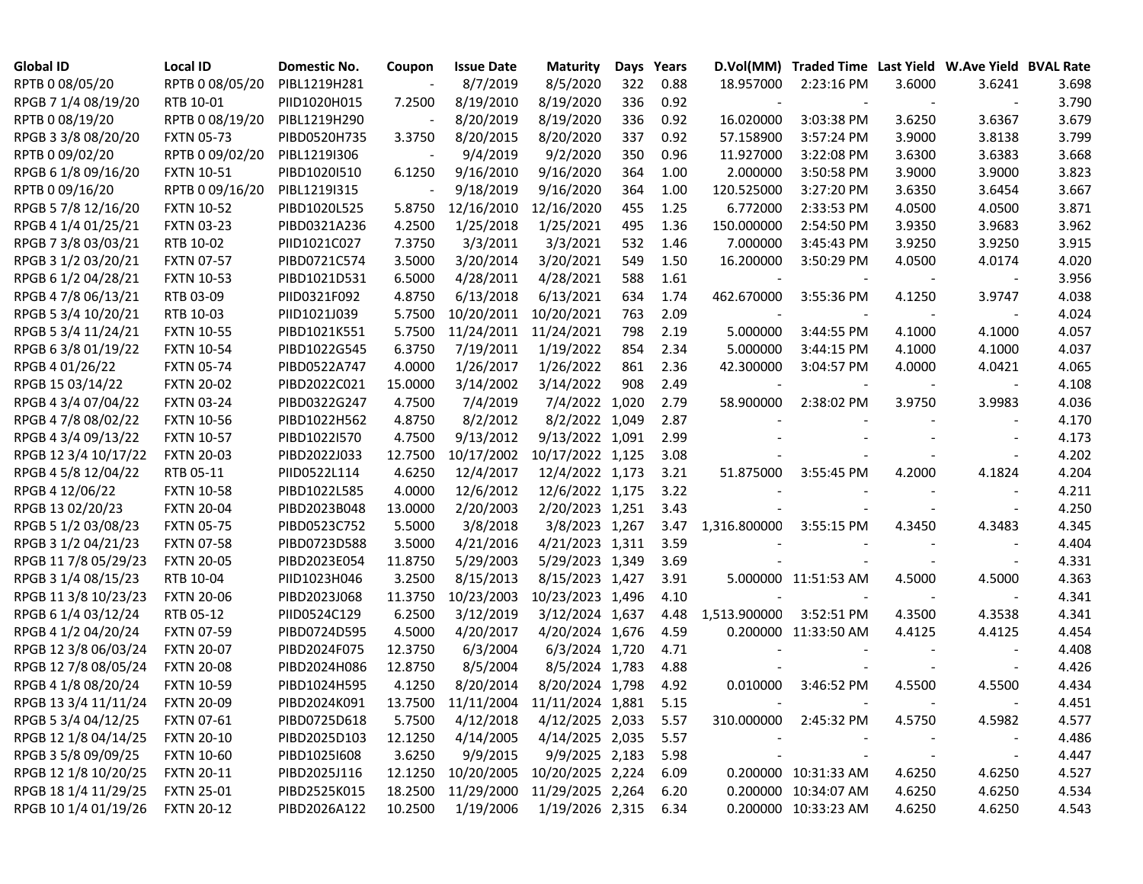| <b>Global ID</b>     | <b>Local ID</b>   | Domestic No. | Coupon  | <b>Issue Date</b> | <b>Maturity</b>                     | Days | Years |              | D.Vol(MM) Traded Time Last Yield W.Ave Yield BVAL Rate |        |                          |       |
|----------------------|-------------------|--------------|---------|-------------------|-------------------------------------|------|-------|--------------|--------------------------------------------------------|--------|--------------------------|-------|
| RPTB 0 08/05/20      | RPTB 0 08/05/20   | PIBL1219H281 |         | 8/7/2019          | 8/5/2020                            | 322  | 0.88  | 18.957000    | 2:23:16 PM                                             | 3.6000 | 3.6241                   | 3.698 |
| RPGB 7 1/4 08/19/20  | RTB 10-01         | PIID1020H015 | 7.2500  | 8/19/2010         | 8/19/2020                           | 336  | 0.92  |              |                                                        |        |                          | 3.790 |
| RPTB 0 08/19/20      | RPTB 0 08/19/20   | PIBL1219H290 |         | 8/20/2019         | 8/19/2020                           | 336  | 0.92  | 16.020000    | 3:03:38 PM                                             | 3.6250 | 3.6367                   | 3.679 |
| RPGB 3 3/8 08/20/20  | <b>FXTN 05-73</b> | PIBD0520H735 | 3.3750  | 8/20/2015         | 8/20/2020                           | 337  | 0.92  | 57.158900    | 3:57:24 PM                                             | 3.9000 | 3.8138                   | 3.799 |
| RPTB 0 09/02/20      | RPTB 0 09/02/20   | PIBL1219I306 |         | 9/4/2019          | 9/2/2020                            | 350  | 0.96  | 11.927000    | 3:22:08 PM                                             | 3.6300 | 3.6383                   | 3.668 |
| RPGB 6 1/8 09/16/20  | <b>FXTN 10-51</b> | PIBD1020I510 | 6.1250  | 9/16/2010         | 9/16/2020                           | 364  | 1.00  | 2.000000     | 3:50:58 PM                                             | 3.9000 | 3.9000                   | 3.823 |
| RPTB 0 09/16/20      | RPTB 0 09/16/20   | PIBL1219I315 |         | 9/18/2019         | 9/16/2020                           | 364  | 1.00  | 120.525000   | 3:27:20 PM                                             | 3.6350 | 3.6454                   | 3.667 |
| RPGB 5 7/8 12/16/20  | <b>FXTN 10-52</b> | PIBD1020L525 | 5.8750  | 12/16/2010        | 12/16/2020                          | 455  | 1.25  | 6.772000     | 2:33:53 PM                                             | 4.0500 | 4.0500                   | 3.871 |
| RPGB 4 1/4 01/25/21  | <b>FXTN 03-23</b> | PIBD0321A236 | 4.2500  | 1/25/2018         | 1/25/2021                           | 495  | 1.36  | 150.000000   | 2:54:50 PM                                             | 3.9350 | 3.9683                   | 3.962 |
| RPGB 7 3/8 03/03/21  | RTB 10-02         | PIID1021C027 | 7.3750  | 3/3/2011          | 3/3/2021                            | 532  | 1.46  | 7.000000     | 3:45:43 PM                                             | 3.9250 | 3.9250                   | 3.915 |
| RPGB 3 1/2 03/20/21  | <b>FXTN 07-57</b> | PIBD0721C574 | 3.5000  | 3/20/2014         | 3/20/2021                           | 549  | 1.50  | 16.200000    | 3:50:29 PM                                             | 4.0500 | 4.0174                   | 4.020 |
| RPGB 6 1/2 04/28/21  | <b>FXTN 10-53</b> | PIBD1021D531 | 6.5000  | 4/28/2011         | 4/28/2021                           | 588  | 1.61  |              |                                                        |        |                          | 3.956 |
| RPGB 4 7/8 06/13/21  | RTB 03-09         | PIID0321F092 | 4.8750  | 6/13/2018         | 6/13/2021                           | 634  | 1.74  | 462.670000   | 3:55:36 PM                                             | 4.1250 | 3.9747                   | 4.038 |
| RPGB 5 3/4 10/20/21  | RTB 10-03         | PIID1021J039 | 5.7500  | 10/20/2011        | 10/20/2021                          | 763  | 2.09  |              |                                                        |        |                          | 4.024 |
| RPGB 5 3/4 11/24/21  | <b>FXTN 10-55</b> | PIBD1021K551 | 5.7500  | 11/24/2011        | 11/24/2021                          | 798  | 2.19  | 5.000000     | 3:44:55 PM                                             | 4.1000 | 4.1000                   | 4.057 |
| RPGB 6 3/8 01/19/22  | <b>FXTN 10-54</b> | PIBD1022G545 | 6.3750  | 7/19/2011         | 1/19/2022                           | 854  | 2.34  | 5.000000     | 3:44:15 PM                                             | 4.1000 | 4.1000                   | 4.037 |
| RPGB 4 01/26/22      | <b>FXTN 05-74</b> | PIBD0522A747 | 4.0000  | 1/26/2017         | 1/26/2022                           | 861  | 2.36  | 42.300000    | 3:04:57 PM                                             | 4.0000 | 4.0421                   | 4.065 |
| RPGB 15 03/14/22     | <b>FXTN 20-02</b> | PIBD2022C021 | 15.0000 | 3/14/2002         | 3/14/2022                           | 908  | 2.49  |              |                                                        |        |                          | 4.108 |
| RPGB 4 3/4 07/04/22  | <b>FXTN 03-24</b> | PIBD0322G247 | 4.7500  | 7/4/2019          | 7/4/2022 1,020                      |      | 2.79  | 58.900000    | 2:38:02 PM                                             | 3.9750 | 3.9983                   | 4.036 |
| RPGB 4 7/8 08/02/22  | <b>FXTN 10-56</b> | PIBD1022H562 | 4.8750  | 8/2/2012          | 8/2/2022 1,049                      |      | 2.87  |              |                                                        |        |                          | 4.170 |
| RPGB 4 3/4 09/13/22  | <b>FXTN 10-57</b> | PIBD1022I570 | 4.7500  | 9/13/2012         | 9/13/2022 1,091                     |      | 2.99  |              |                                                        |        |                          | 4.173 |
| RPGB 12 3/4 10/17/22 | <b>FXTN 20-03</b> | PIBD2022J033 | 12.7500 | 10/17/2002        | 10/17/2022 1,125                    |      | 3.08  |              |                                                        |        |                          | 4.202 |
| RPGB 4 5/8 12/04/22  | RTB 05-11         | PIID0522L114 | 4.6250  | 12/4/2017         | 12/4/2022 1,173                     |      | 3.21  | 51.875000    | 3:55:45 PM                                             | 4.2000 | 4.1824                   | 4.204 |
| RPGB 4 12/06/22      | <b>FXTN 10-58</b> | PIBD1022L585 | 4.0000  | 12/6/2012         | 12/6/2022 1,175                     |      | 3.22  |              |                                                        |        |                          | 4.211 |
| RPGB 13 02/20/23     | <b>FXTN 20-04</b> | PIBD2023B048 | 13.0000 | 2/20/2003         | 2/20/2023 1,251                     |      | 3.43  |              |                                                        |        | $\overline{\phantom{a}}$ | 4.250 |
| RPGB 5 1/2 03/08/23  | <b>FXTN 05-75</b> | PIBD0523C752 | 5.5000  | 3/8/2018          | 3/8/2023 1,267                      |      | 3.47  | 1,316.800000 | 3:55:15 PM                                             | 4.3450 | 4.3483                   | 4.345 |
| RPGB 3 1/2 04/21/23  | <b>FXTN 07-58</b> | PIBD0723D588 | 3.5000  | 4/21/2016         | 4/21/2023 1,311                     |      | 3.59  |              |                                                        |        |                          | 4.404 |
| RPGB 11 7/8 05/29/23 | <b>FXTN 20-05</b> | PIBD2023E054 | 11.8750 | 5/29/2003         | 5/29/2023 1,349                     |      | 3.69  |              |                                                        |        |                          | 4.331 |
| RPGB 3 1/4 08/15/23  | RTB 10-04         | PIID1023H046 | 3.2500  | 8/15/2013         | 8/15/2023 1,427                     |      | 3.91  |              | 5.000000 11:51:53 AM                                   | 4.5000 | 4.5000                   | 4.363 |
| RPGB 11 3/8 10/23/23 | <b>FXTN 20-06</b> | PIBD2023J068 | 11.3750 | 10/23/2003        | 10/23/2023 1,496                    |      | 4.10  |              |                                                        |        |                          | 4.341 |
| RPGB 6 1/4 03/12/24  | RTB 05-12         | PIID0524C129 | 6.2500  | 3/12/2019         | 3/12/2024 1,637                     |      | 4.48  | 1,513.900000 | 3:52:51 PM                                             | 4.3500 | 4.3538                   | 4.341 |
| RPGB 4 1/2 04/20/24  | <b>FXTN 07-59</b> | PIBD0724D595 | 4.5000  | 4/20/2017         | 4/20/2024 1,676                     |      | 4.59  |              | 0.200000 11:33:50 AM                                   | 4.4125 | 4.4125                   | 4.454 |
| RPGB 12 3/8 06/03/24 | <b>FXTN 20-07</b> | PIBD2024F075 | 12.3750 | 6/3/2004          | 6/3/2024 1,720                      |      | 4.71  |              |                                                        |        |                          | 4.408 |
| RPGB 12 7/8 08/05/24 | <b>FXTN 20-08</b> | PIBD2024H086 | 12.8750 | 8/5/2004          | 8/5/2024 1,783                      |      | 4.88  |              |                                                        |        |                          | 4.426 |
| RPGB 4 1/8 08/20/24  | <b>FXTN 10-59</b> | PIBD1024H595 | 4.1250  | 8/20/2014         | 8/20/2024 1,798                     |      | 4.92  | 0.010000     | 3:46:52 PM                                             | 4.5500 | 4.5500                   | 4.434 |
| RPGB 13 3/4 11/11/24 | <b>FXTN 20-09</b> | PIBD2024K091 |         |                   | 13.7500 11/11/2004 11/11/2024 1,881 |      | 5.15  |              |                                                        |        |                          | 4.451 |
| RPGB 5 3/4 04/12/25  | <b>FXTN 07-61</b> | PIBD0725D618 | 5.7500  | 4/12/2018         | 4/12/2025 2,033                     |      | 5.57  |              | 310.000000 2:45:32 PM                                  | 4.5750 | 4.5982                   | 4.577 |
| RPGB 12 1/8 04/14/25 | <b>FXTN 20-10</b> | PIBD2025D103 | 12.1250 | 4/14/2005         | 4/14/2025 2,035                     |      | 5.57  |              |                                                        |        |                          | 4.486 |
| RPGB 3 5/8 09/09/25  | <b>FXTN 10-60</b> | PIBD10251608 | 3.6250  | 9/9/2015          | 9/9/2025 2,183                      |      | 5.98  |              |                                                        |        | $\overline{\phantom{a}}$ | 4.447 |
| RPGB 12 1/8 10/20/25 | <b>FXTN 20-11</b> | PIBD2025J116 | 12.1250 | 10/20/2005        | 10/20/2025 2,224                    |      | 6.09  |              | 0.200000 10:31:33 AM                                   | 4.6250 | 4.6250                   | 4.527 |
| RPGB 18 1/4 11/29/25 | <b>FXTN 25-01</b> | PIBD2525K015 | 18.2500 | 11/29/2000        | 11/29/2025 2,264                    |      | 6.20  |              | 0.200000 10:34:07 AM                                   | 4.6250 | 4.6250                   | 4.534 |
| RPGB 10 1/4 01/19/26 | <b>FXTN 20-12</b> | PIBD2026A122 | 10.2500 | 1/19/2006         | 1/19/2026 2,315                     |      | 6.34  |              | 0.200000 10:33:23 AM                                   | 4.6250 | 4.6250                   | 4.543 |
|                      |                   |              |         |                   |                                     |      |       |              |                                                        |        |                          |       |